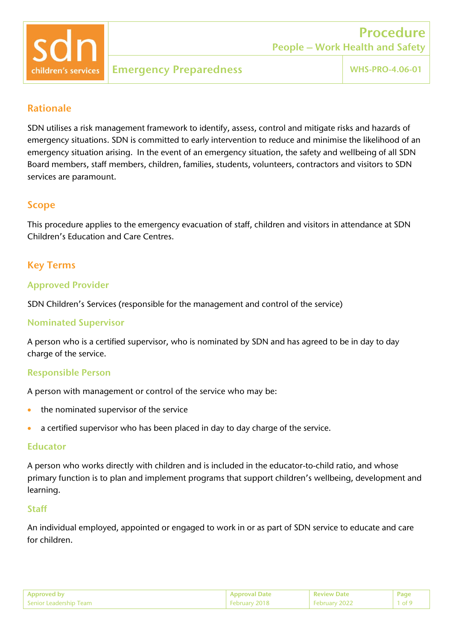

# Procedure People – Work Health and Safety

# Emergency Preparedness Network 2011 NHS-PRO-4.06-01

# Rationale

SDN utilises a risk management framework to identify, assess, control and mitigate risks and hazards of emergency situations. SDN is committed to early intervention to reduce and minimise the likelihood of an emergency situation arising. In the event of an emergency situation, the safety and wellbeing of all SDN Board members, staff members, children, families, students, volunteers, contractors and visitors to SDN services are paramount.

## Scope

This procedure applies to the emergency evacuation of staff, children and visitors in attendance at SDN Children's Education and Care Centres.

# Key Terms

## Approved Provider

SDN Children's Services (responsible for the management and control of the service)

## Nominated Supervisor

A person who is a certified supervisor, who is nominated by SDN and has agreed to be in day to day charge of the service.

## Responsible Person

A person with management or control of the service who may be:

- the nominated supervisor of the service
- a certified supervisor who has been placed in day to day charge of the service.

## Educator

A person who works directly with children and is included in the educator-to-child ratio, and whose primary function is to plan and implement programs that support children's wellbeing, development and learning.

#### **Staff**

An individual employed, appointed or engaged to work in or as part of SDN service to educate and care for children.

| <b>Approved by</b>     | <b>Approval Date</b> | <b>Review Date</b>   | Page |
|------------------------|----------------------|----------------------|------|
| Senior Leadership Team | February 2018        | <b>February 2022</b> |      |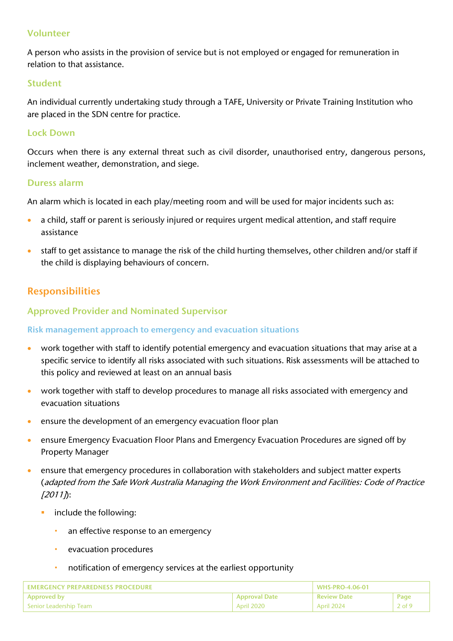## Volunteer

A person who assists in the provision of service but is not employed or engaged for remuneration in relation to that assistance.

## Student

An individual currently undertaking study through a TAFE, University or Private Training Institution who are placed in the SDN centre for practice.

## Lock Down

Occurs when there is any external threat such as civil disorder, unauthorised entry, dangerous persons, inclement weather, demonstration, and siege.

## Duress alarm

An alarm which is located in each play/meeting room and will be used for major incidents such as:

- a child, staff or parent is seriously injured or requires urgent medical attention, and staff require assistance
- staff to get assistance to manage the risk of the child hurting themselves, other children and/or staff if the child is displaying behaviours of concern.

# Responsibilities

## Approved Provider and Nominated Supervisor

## Risk management approach to emergency and evacuation situations

- work together with staff to identify potential emergency and evacuation situations that may arise at a specific service to identify all risks associated with such situations. Risk assessments will be attached to this policy and reviewed at least on an annual basis
- work together with staff to develop procedures to manage all risks associated with emergency and evacuation situations
- ensure the development of an emergency evacuation floor plan
- ensure Emergency Evacuation Floor Plans and Emergency Evacuation Procedures are signed off by Property Manager
- ensure that emergency procedures in collaboration with stakeholders and subject matter experts (adapted from the Safe Work Australia Managing the Work Environment and Facilities: Code of Practice  $[2011]$ :
	- include the following:
		- **an effective response to an emergency**
		- evacuation procedures
		- notification of emergency services at the earliest opportunity

| <b>FMFRGENCY PREPAREDNESS PROCEDURE</b> |                      | <b>WHS-PRO-4.06-01</b> |        |
|-----------------------------------------|----------------------|------------------------|--------|
| <b>Approved by</b>                      | <b>Approval Date</b> | ' Review Date          | Page   |
| Senior Leadership Team                  | April 2020           | April 2024             | 2 of 9 |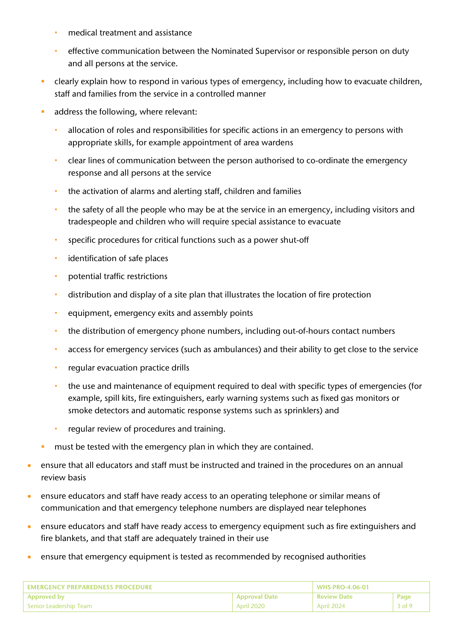- medical treatment and assistance
- effective communication between the Nominated Supervisor or responsible person on duty and all persons at the service.
- clearly explain how to respond in various types of emergency, including how to evacuate children, staff and families from the service in a controlled manner
- address the following, where relevant:
	- allocation of roles and responsibilities for specific actions in an emergency to persons with appropriate skills, for example appointment of area wardens
	- clear lines of communication between the person authorised to co-ordinate the emergency response and all persons at the service
	- the activation of alarms and alerting staff, children and families
	- the safety of all the people who may be at the service in an emergency, including visitors and tradespeople and children who will require special assistance to evacuate
	- specific procedures for critical functions such as a power shut-off
	- **i** identification of safe places
	- **•** potential traffic restrictions
	- distribution and display of a site plan that illustrates the location of fire protection
	- equipment, emergency exits and assembly points
	- the distribution of emergency phone numbers, including out-of-hours contact numbers
	- access for emergency services (such as ambulances) and their ability to get close to the service
	- regular evacuation practice drills
	- the use and maintenance of equipment required to deal with specific types of emergencies (for example, spill kits, fire extinguishers, early warning systems such as fixed gas monitors or smoke detectors and automatic response systems such as sprinklers) and
	- regular review of procedures and training.
- **E** must be tested with the emergency plan in which they are contained.
- ensure that all educators and staff must be instructed and trained in the procedures on an annual review basis
- ensure educators and staff have ready access to an operating telephone or similar means of communication and that emergency telephone numbers are displayed near telephones
- ensure educators and staff have ready access to emergency equipment such as fire extinguishers and fire blankets, and that staff are adequately trained in their use
- ensure that emergency equipment is tested as recommended by recognised authorities

| <b>EMERGENCY PREPAREDNESS PROCEDURE</b> |                      | <b>WHS-PRO-4.06-01</b> |        |
|-----------------------------------------|----------------------|------------------------|--------|
| <b>Approved by</b>                      | <b>Approval Date</b> | <b>Review Date</b>     | Page   |
| Senior Leadership Team                  | April 2020           | April 2024             | 3 of 9 |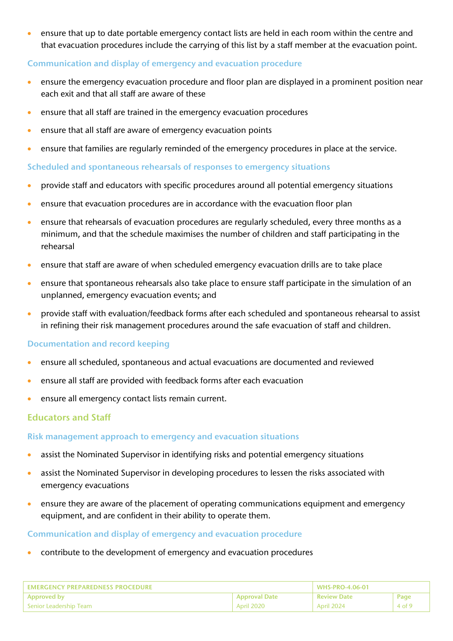• ensure that up to date portable emergency contact lists are held in each room within the centre and that evacuation procedures include the carrying of this list by a staff member at the evacuation point.

## Communication and display of emergency and evacuation procedure

- ensure the emergency evacuation procedure and floor plan are displayed in a prominent position near each exit and that all staff are aware of these
- ensure that all staff are trained in the emergency evacuation procedures
- ensure that all staff are aware of emergency evacuation points
- ensure that families are regularly reminded of the emergency procedures in place at the service.

## Scheduled and spontaneous rehearsals of responses to emergency situations

- provide staff and educators with specific procedures around all potential emergency situations
- ensure that evacuation procedures are in accordance with the evacuation floor plan
- ensure that rehearsals of evacuation procedures are regularly scheduled, every three months as a minimum, and that the schedule maximises the number of children and staff participating in the rehearsal
- ensure that staff are aware of when scheduled emergency evacuation drills are to take place
- ensure that spontaneous rehearsals also take place to ensure staff participate in the simulation of an unplanned, emergency evacuation events; and
- provide staff with evaluation/feedback forms after each scheduled and spontaneous rehearsal to assist in refining their risk management procedures around the safe evacuation of staff and children.

## Documentation and record keeping

- ensure all scheduled, spontaneous and actual evacuations are documented and reviewed
- ensure all staff are provided with feedback forms after each evacuation
- ensure all emergency contact lists remain current.

## Educators and Staff

## Risk management approach to emergency and evacuation situations

- assist the Nominated Supervisor in identifying risks and potential emergency situations
- assist the Nominated Supervisor in developing procedures to lessen the risks associated with emergency evacuations
- ensure they are aware of the placement of operating communications equipment and emergency equipment, and are confident in their ability to operate them.

## Communication and display of emergency and evacuation procedure

• contribute to the development of emergency and evacuation procedures

| <b>FMFRGENCY PREPAREDNESS PROCEDURE</b> |                      | <b>WHS-PRO-4.06-01</b> |        |
|-----------------------------------------|----------------------|------------------------|--------|
| Approved by                             | <b>Approval Date</b> | <b>Review Date</b>     | Page   |
| Senior Leadership Team                  | <b>April 2020</b>    | April 2024             | 4 of 9 |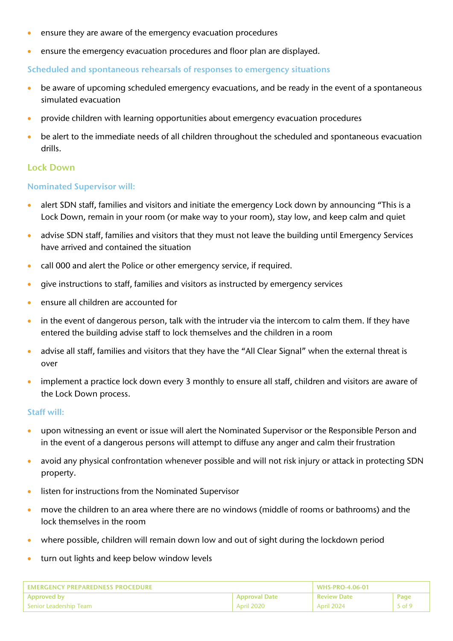- ensure they are aware of the emergency evacuation procedures
- ensure the emergency evacuation procedures and floor plan are displayed.

#### Scheduled and spontaneous rehearsals of responses to emergency situations

- be aware of upcoming scheduled emergency evacuations, and be ready in the event of a spontaneous simulated evacuation
- provide children with learning opportunities about emergency evacuation procedures
- be alert to the immediate needs of all children throughout the scheduled and spontaneous evacuation drills.

#### Lock Down

#### Nominated Supervisor will:

- alert SDN staff, families and visitors and initiate the emergency Lock down by announcing "This is a Lock Down, remain in your room (or make way to your room), stay low, and keep calm and quiet
- advise SDN staff, families and visitors that they must not leave the building until Emergency Services have arrived and contained the situation
- call 000 and alert the Police or other emergency service, if required.
- give instructions to staff, families and visitors as instructed by emergency services
- ensure all children are accounted for
- in the event of dangerous person, talk with the intruder via the intercom to calm them. If they have entered the building advise staff to lock themselves and the children in a room
- advise all staff, families and visitors that they have the "All Clear Signal" when the external threat is over
- implement a practice lock down every 3 monthly to ensure all staff, children and visitors are aware of the Lock Down process.

#### Staff will:

- upon witnessing an event or issue will alert the Nominated Supervisor or the Responsible Person and in the event of a dangerous persons will attempt to diffuse any anger and calm their frustration
- avoid any physical confrontation whenever possible and will not risk injury or attack in protecting SDN property.
- listen for instructions from the Nominated Supervisor
- move the children to an area where there are no windows (middle of rooms or bathrooms) and the lock themselves in the room
- where possible, children will remain down low and out of sight during the lockdown period
- turn out lights and keep below window levels

| <b>EMERGENCY PREPAREDNESS PROCEDURE</b> |                      | WHS-PRO-4.06-01    |        |
|-----------------------------------------|----------------------|--------------------|--------|
| <b>Approved by</b>                      | <b>Approval Date</b> | <b>Review Date</b> | Page   |
| Senior Leadership Team                  | April 2020           | April 2024         | 5 of 9 |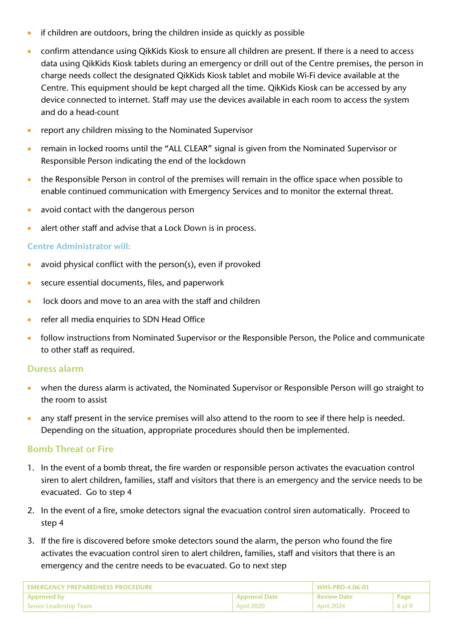- if children are outdoors, bring the children inside as quickly as possible
- confirm attendance using QikKids Kiosk to ensure all children are present. If there is a need to access data using QikKids Kiosk tablets during an emergency or drill out of the Centre premises, the person in charge needs collect the designated QikKids Kiosk tablet and mobile Wi-Fi device available at the Centre. This equipment should be kept charged all the time. QikKids Kiosk can be accessed by any device connected to internet. Staff may use the devices available in each room to access the system and do a head-count
- report any children missing to the Nominated Supervisor
- remain in locked rooms until the "ALL CLEAR" signal is given from the Nominated Supervisor or Responsible Person indicating the end of the lockdown
- the Responsible Person in control of the premises will remain in the office space when possible to enable continued communication with Emergency Services and to monitor the external threat.
- avoid contact with the dangerous person
- alert other staff and advise that a Lock Down is in process.

## Centre Administrator will:

- avoid physical conflict with the person(s), even if provoked
- secure essential documents, files, and paperwork
- lock doors and move to an area with the staff and children
- refer all media enquiries to SDN Head Office
- follow instructions from Nominated Supervisor or the Responsible Person, the Police and communicate to other staff as required.

## Duress alarm

- when the duress alarm is activated, the Nominated Supervisor or Responsible Person will go straight to the room to assist
- any staff present in the service premises will also attend to the room to see if there help is needed. Depending on the situation, appropriate procedures should then be implemented.

## Bomb Threat or Fire

- 1. In the event of a bomb threat, the fire warden or responsible person activates the evacuation control siren to alert children, families, staff and visitors that there is an emergency and the service needs to be evacuated. Go to step 4
- 2. In the event of a fire, smoke detectors signal the evacuation control siren automatically. Proceed to step 4
- 3. If the fire is discovered before smoke detectors sound the alarm, the person who found the fire activates the evacuation control siren to alert children, families, staff and visitors that there is an emergency and the centre needs to be evacuated. Go to next step

| <b>FMFRGENCY PREPAREDNESS PROCEDURE</b> |                      | $\mid$ WHS-PRO-4.06-01 |        |
|-----------------------------------------|----------------------|------------------------|--------|
| Approved by                             | <b>Approval Date</b> | <b>' Review Date</b>   | Page   |
| Senior Leadership Team                  | April 2020           | April 2024             | 6 of 9 |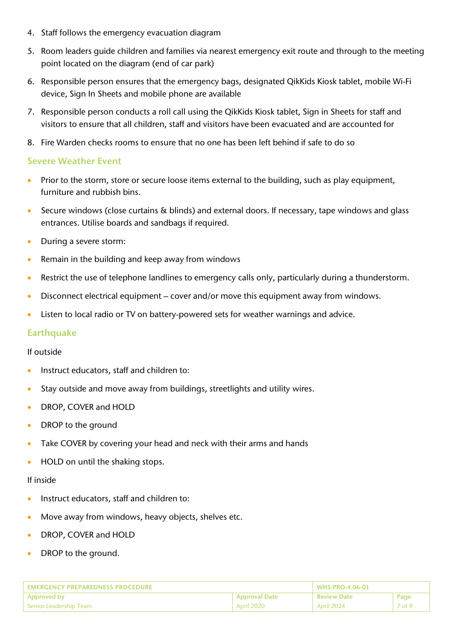- 4. Staff follows the emergency evacuation diagram
- 5. Room leaders guide children and families via nearest emergency exit route and through to the meeting point located on the diagram (end of car park)
- 6. Responsible person ensures that the emergency bags, designated QikKids Kiosk tablet, mobile Wi-Fi device, Sign In Sheets and mobile phone are available
- 7. Responsible person conducts a roll call using the QikKids Kiosk tablet, Sign in Sheets for staff and visitors to ensure that all children, staff and visitors have been evacuated and are accounted for
- 8. Fire Warden checks rooms to ensure that no one has been left behind if safe to do so

## Severe Weather Event

- Prior to the storm, store or secure loose items external to the building, such as play equipment, furniture and rubbish bins.
- Secure windows (close curtains & blinds) and external doors. If necessary, tape windows and glass entrances. Utilise boards and sandbags if required.
- During a severe storm:
- Remain in the building and keep away from windows
- Restrict the use of telephone landlines to emergency calls only, particularly during a thunderstorm.
- Disconnect electrical equipment cover and/or move this equipment away from windows.
- Listen to local radio or TV on battery-powered sets for weather warnings and advice.

## **Earthquake**

## If outside

- Instruct educators, staff and children to:
- Stay outside and move away from buildings, streetlights and utility wires.
- DROP, COVER and HOLD
- DROP to the ground
- Take COVER by covering your head and neck with their arms and hands
- HOLD on until the shaking stops.

## If inside

- Instruct educators, staff and children to:
- Move away from windows, heavy objects, shelves etc.
- DROP, COVER and HOLD
- DROP to the ground.

| <b>FMFRGENCY PREPAREDNESS PROCEDURE</b> |                      | WHS-PRO-4.06-01    |        |
|-----------------------------------------|----------------------|--------------------|--------|
| <b>Approved by</b>                      | <b>Approval Date</b> | <b>Review Date</b> | Page   |
| Senior Leadership Team                  | <b>April 2020</b>    | April 2024         | 7 of 9 |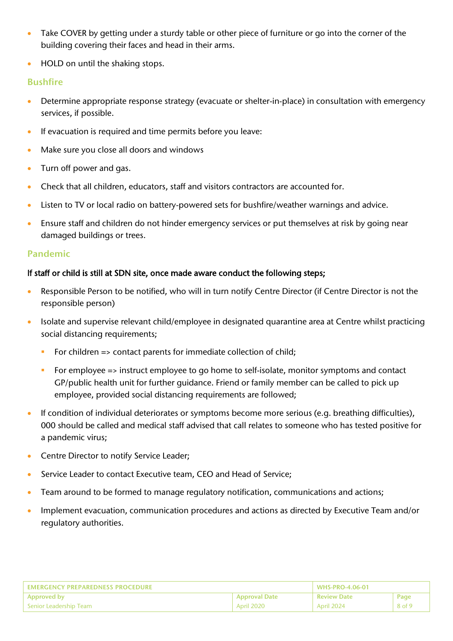- Take COVER by getting under a sturdy table or other piece of furniture or go into the corner of the building covering their faces and head in their arms.
- HOLD on until the shaking stops.

## Bushfire

- Determine appropriate response strategy (evacuate or shelter-in-place) in consultation with emergency services, if possible.
- If evacuation is required and time permits before you leave:
- Make sure you close all doors and windows
- Turn off power and gas.
- Check that all children, educators, staff and visitors contractors are accounted for.
- Listen to TV or local radio on battery-powered sets for bushfire/weather warnings and advice.
- Ensure staff and children do not hinder emergency services or put themselves at risk by going near damaged buildings or trees.

## Pandemic

## If staff or child is still at SDN site, once made aware conduct the following steps;

- Responsible Person to be notified, who will in turn notify Centre Director (if Centre Director is not the responsible person)
- Isolate and supervise relevant child/employee in designated quarantine area at Centre whilst practicing social distancing requirements;
	- For children  $\Rightarrow$  contact parents for immediate collection of child;
	- For employee => instruct employee to go home to self-isolate, monitor symptoms and contact GP/public health unit for further guidance. Friend or family member can be called to pick up employee, provided social distancing requirements are followed;
- If condition of individual deteriorates or symptoms become more serious (e.g. breathing difficulties), 000 should be called and medical staff advised that call relates to someone who has tested positive for a pandemic virus;
- Centre Director to notify Service Leader;
- Service Leader to contact Executive team, CEO and Head of Service;
- Team around to be formed to manage regulatory notification, communications and actions;
- Implement evacuation, communication procedures and actions as directed by Executive Team and/or regulatory authorities.

| <b>FMFRGFNCY PRFPARFDNESS PROCFDURF</b> |                      | WHS-PRO-4.06-01      |        |
|-----------------------------------------|----------------------|----------------------|--------|
| Approved by                             | <b>Approval Date</b> | <b>Review Date</b> ` | Page   |
| Senior Leadership Team                  | <b>April 2020</b>    | <b>April 2024</b>    | 8 of 9 |